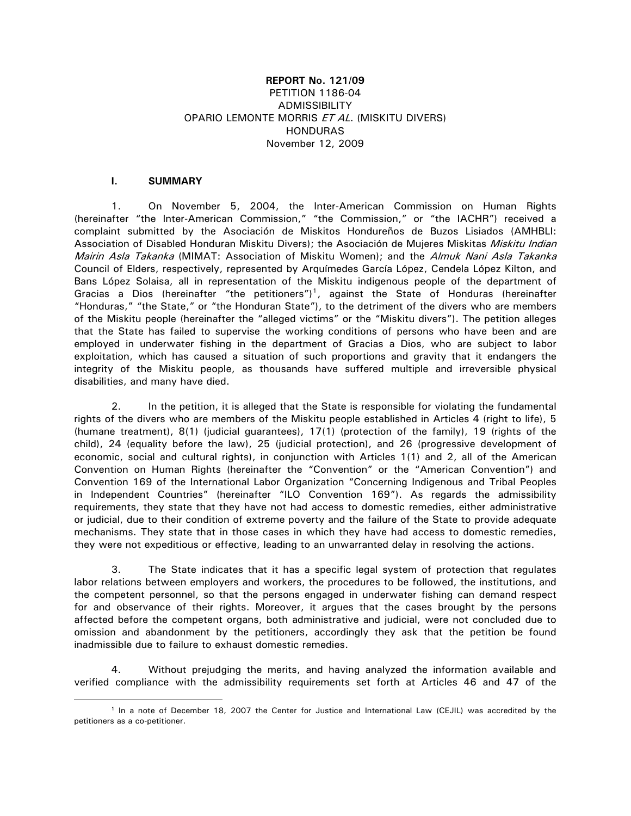## **REPORT No. 121/09**  PETITION 1186-04 ADMISSIBILITY OPARIO LEMONTE MORRIS ET AL. (MISKITU DIVERS) HONDURAS November 12, 2009

## **I. SUMMARY**

 $\overline{a}$ 

1. On November 5, 2004, the Inter-American Commission on Human Rights (hereinafter "the Inter-American Commission," "the Commission," or "the IACHR") received a complaint submitted by the Asociación de Miskitos Hondureños de Buzos Lisiados (AMHBLI: Association of Disabled Honduran Miskitu Divers); the Asociación de Mujeres Miskitas Miskitu Indian Mairin Asla Takanka (MIMAT: Association of Miskitu Women); and the Almuk Nani Asla Takanka Council of Elders, respectively, represented by Arquímedes García López, Cendela López Kilton, and Bans López Solaisa, all in representation of the Miskitu indigenous people of the department of Gracias a Dios (hereinafter "the petitioners")<sup>[1](#page-0-0)</sup>, against the State of Honduras (hereinafter "Honduras," "the State," or "the Honduran State"), to the detriment of the divers who are members of the Miskitu people (hereinafter the "alleged victims" or the "Miskitu divers"). The petition alleges that the State has failed to supervise the working conditions of persons who have been and are employed in underwater fishing in the department of Gracias a Dios, who are subject to labor exploitation, which has caused a situation of such proportions and gravity that it endangers the integrity of the Miskitu people, as thousands have suffered multiple and irreversible physical disabilities, and many have died.

2. In the petition, it is alleged that the State is responsible for violating the fundamental rights of the divers who are members of the Miskitu people established in Articles 4 (right to life), 5 (humane treatment), 8(1) (judicial guarantees), 17(1) (protection of the family), 19 (rights of the child), 24 (equality before the law), 25 (judicial protection), and 26 (progressive development of economic, social and cultural rights), in conjunction with Articles 1(1) and 2, all of the American Convention on Human Rights (hereinafter the "Convention" or the "American Convention") and Convention 169 of the International Labor Organization "Concerning Indigenous and Tribal Peoples in Independent Countries" (hereinafter "ILO Convention 169"). As regards the admissibility requirements, they state that they have not had access to domestic remedies, either administrative or judicial, due to their condition of extreme poverty and the failure of the State to provide adequate mechanisms. They state that in those cases in which they have had access to domestic remedies, they were not expeditious or effective, leading to an unwarranted delay in resolving the actions.

3. The State indicates that it has a specific legal system of protection that regulates labor relations between employers and workers, the procedures to be followed, the institutions, and the competent personnel, so that the persons engaged in underwater fishing can demand respect for and observance of their rights. Moreover, it argues that the cases brought by the persons affected before the competent organs, both administrative and judicial, were not concluded due to omission and abandonment by the petitioners, accordingly they ask that the petition be found inadmissible due to failure to exhaust domestic remedies.

4. Without prejudging the merits, and having analyzed the information available and verified compliance with the admissibility requirements set forth at Articles 46 and 47 of the

<span id="page-0-0"></span><sup>1</sup> In a note of December 18, 2007 the Center for Justice and International Law (CEJIL) was accredited by the petitioners as a co-petitioner.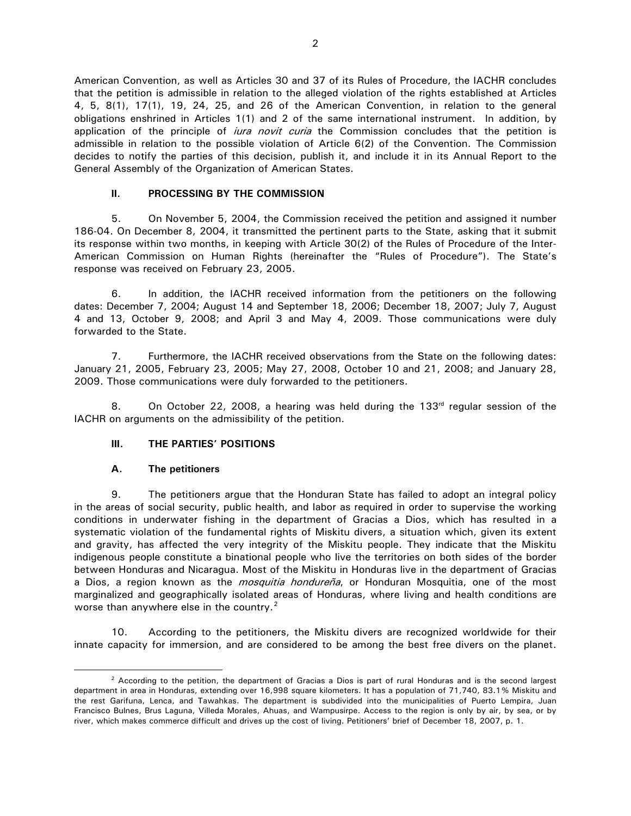American Convention, as well as Articles 30 and 37 of its Rules of Procedure, the IACHR concludes that the petition is admissible in relation to the alleged violation of the rights established at Articles 4, 5, 8(1), 17(1), 19, 24, 25, and 26 of the American Convention, in relation to the general obligations enshrined in Articles 1(1) and 2 of the same international instrument. In addition, by application of the principle of *iura novit curia* the Commission concludes that the petition is admissible in relation to the possible violation of Article 6(2) of the Convention. The Commission decides to notify the parties of this decision, publish it, and include it in its Annual Report to the General Assembly of the Organization of American States.

## **II. PROCESSING BY THE COMMISSION**

5. On November 5, 2004, the Commission received the petition and assigned it number 186-04. On December 8, 2004, it transmitted the pertinent parts to the State, asking that it submit its response within two months, in keeping with Article 30(2) of the Rules of Procedure of the Inter-American Commission on Human Rights (hereinafter the "Rules of Procedure"). The State's response was received on February 23, 2005.

6. In addition, the IACHR received information from the petitioners on the following dates: December 7, 2004; August 14 and September 18, 2006; December 18, 2007; July 7, August 4 and 13, October 9, 2008; and April 3 and May 4, 2009. Those communications were duly forwarded to the State.

7. Furthermore, the IACHR received observations from the State on the following dates: January 21, 2005, February 23, 2005; May 27, 2008, October 10 and 21, 2008; and January 28, 2009. Those communications were duly forwarded to the petitioners.

8. On October 22, 2008, a hearing was held during the 133<sup>rd</sup> regular session of the IACHR on arguments on the admissibility of the petition.

### **III. THE PARTIES' POSITIONS**

### **A. The petitioners**

 $\overline{a}$ 

9. The petitioners argue that the Honduran State has failed to adopt an integral policy in the areas of social security, public health, and labor as required in order to supervise the working conditions in underwater fishing in the department of Gracias a Dios, which has resulted in a systematic violation of the fundamental rights of Miskitu divers, a situation which, given its extent and gravity, has affected the very integrity of the Miskitu people. They indicate that the Miskitu indigenous people constitute a binational people who live the territories on both sides of the border between Honduras and Nicaragua. Most of the Miskitu in Honduras live in the department of Gracias a Dios, a region known as the *mosquitia hondureña*, or Honduran Mosquitia, one of the most marginalized and geographically isolated areas of Honduras, where living and health conditions are worse than anywhere else in the country.<sup>[2](#page-1-0)</sup>

10. According to the petitioners, the Miskitu divers are recognized worldwide for their innate capacity for immersion, and are considered to be among the best free divers on the planet.

<span id="page-1-0"></span> $2$  According to the petition, the department of Gracias a Dios is part of rural Honduras and is the second largest department in area in Honduras, extending over 16,998 square kilometers. It has a population of 71,740, 83.1% Miskitu and the rest Garifuna, Lenca, and Tawahkas. The department is subdivided into the municipalities of Puerto Lempira, Juan Francisco Bulnes, Brus Laguna, Villeda Morales, Ahuas, and Wampusirpe. Access to the region is only by air, by sea, or by river, which makes commerce difficult and drives up the cost of living. Petitioners' brief of December 18, 2007, p. 1.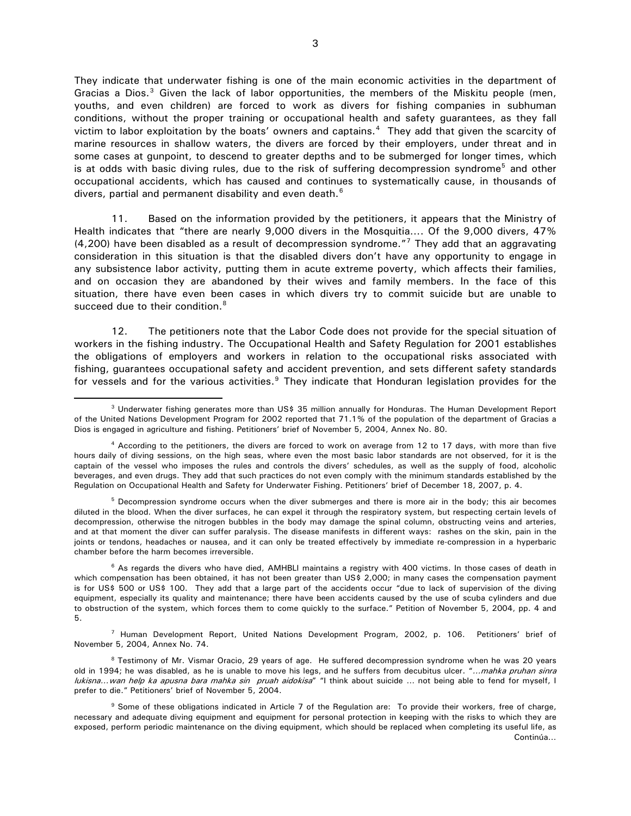They indicate that underwater fishing is one of the main economic activities in the department of Gracias a Dios. $3$  Given the lack of labor opportunities, the members of the Miskitu people (men, youths, and even children) are forced to work as divers for fishing companies in subhuman conditions, without the proper training or occupational health and safety guarantees, as they fall victim to labor exploitation by the boats' owners and captains.<sup>[4](#page-2-1)</sup> They add that given the scarcity of marine resources in shallow waters, the divers are forced by their employers, under threat and in some cases at gunpoint, to descend to greater depths and to be submerged for longer times, which is at odds with basic diving rules, due to the risk of suffering decompression syndrome<sup>[5](#page-2-2)</sup> and other occupational accidents, which has caused and continues to systematically cause, in thousands of divers, partial and permanent disability and even death.<sup>[6](#page-2-3)</sup>

11. Based on the information provided by the petitioners, it appears that the Ministry of Health indicates that "there are nearly 9,000 divers in the Mosquitia…. Of the 9,000 divers, 47% (4,200) have been disabled as a result of decompression syndrome."[7](#page-2-4) They add that an aggravating consideration in this situation is that the disabled divers don't have any opportunity to engage in any subsistence labor activity, putting them in acute extreme poverty, which affects their families, and on occasion they are abandoned by their wives and family members. In the face of this situation, there have even been cases in which divers try to commit suicide but are unable to succeed due to their condition.<sup>[8](#page-2-5)</sup>

12. The petitioners note that the Labor Code does not provide for the special situation of workers in the fishing industry. The Occupational Health and Safety Regulation for 2001 establishes the obligations of employers and workers in relation to the occupational risks associated with fishing, guarantees occupational safety and accident prevention, and sets different safety standards for vessels and for the various activities.<sup>[9](#page-2-6)</sup> They indicate that Honduran legislation provides for the

<span id="page-2-0"></span><sup>&</sup>lt;sup>3</sup> Underwater fishing generates more than US\$ 35 million annually for Honduras. The Human Development Report of the United Nations Development Program for 2002 reported that 71.1% of the population of the department of Gracias a Dios is engaged in agriculture and fishing. Petitioners' brief of November 5, 2004, Annex No. 80.

<span id="page-2-1"></span> $4$  According to the petitioners, the divers are forced to work on average from 12 to 17 days, with more than five hours daily of diving sessions, on the high seas, where even the most basic labor standards are not observed, for it is the captain of the vessel who imposes the rules and controls the divers' schedules, as well as the supply of food, alcoholic beverages, and even drugs. They add that such practices do not even comply with the minimum standards established by the Regulation on Occupational Health and Safety for Underwater Fishing. Petitioners' brief of December 18, 2007, p. 4.

<span id="page-2-2"></span><sup>&</sup>lt;sup>5</sup> Decompression syndrome occurs when the diver submerges and there is more air in the body; this air becomes diluted in the blood. When the diver surfaces, he can expel it through the respiratory system, but respecting certain levels of decompression, otherwise the nitrogen bubbles in the body may damage the spinal column, obstructing veins and arteries, and at that moment the diver can suffer paralysis. The disease manifests in different ways: rashes on the skin, pain in the joints or tendons, headaches or nausea, and it can only be treated effectively by immediate re-compression in a hyperbaric chamber before the harm becomes irreversible.

<span id="page-2-3"></span><sup>&</sup>lt;sup>6</sup> As regards the divers who have died, AMHBLI maintains a registry with 400 victims. In those cases of death in which compensation has been obtained, it has not been greater than US\$ 2,000; in many cases the compensation payment is for US\$ 500 or US\$ 100. They add that a large part of the accidents occur "due to lack of supervision of the diving equipment, especially its quality and maintenance; there have been accidents caused by the use of scuba cylinders and due to obstruction of the system, which forces them to come quickly to the surface." Petition of November 5, 2004, pp. 4 and 5.

<span id="page-2-4"></span> $7$  Human Development Report, United Nations Development Program, 2002, p. 106. Petitioners' brief of November 5, 2004, Annex No. 74.

<span id="page-2-5"></span><sup>&</sup>lt;sup>8</sup> Testimony of Mr. Vismar Oracio, 29 years of age. He suffered decompression syndrome when he was 20 years old in 1994; he was disabled, as he is unable to move his legs, and he suffers from decubitus ulcer. "...mahka pruhan sinra lukisna...wan help ka apusna bara mahka sin pruah aidokisa" "I think about suicide ... not being able to fend for myself, I prefer to die." Petitioners' brief of November 5, 2004.

<span id="page-2-6"></span>Continúa… <sup>9</sup> Some of these obligations indicated in Article 7 of the Regulation are: To provide their workers, free of charge, necessary and adequate diving equipment and equipment for personal protection in keeping with the risks to which they are exposed, perform periodic maintenance on the diving equipment, which should be replaced when completing its useful life, as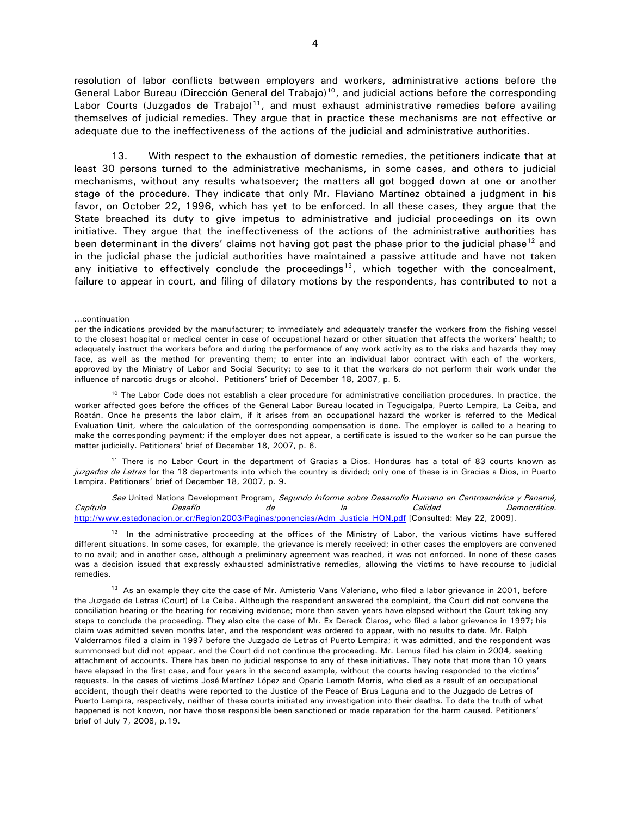resolution of labor conflicts between employers and workers, administrative actions before the General Labor Bureau (Dirección General del Trabajo)<sup>[10](#page-3-0)</sup>, and judicial actions before the corresponding Labor Courts (Juzgados de Trabajo)<sup>[11](#page-3-1)</sup>, and must exhaust administrative remedies before availing themselves of judicial remedies. They argue that in practice these mechanisms are not effective or adequate due to the ineffectiveness of the actions of the judicial and administrative authorities.

13. With respect to the exhaustion of domestic remedies, the petitioners indicate that at least 30 persons turned to the administrative mechanisms, in some cases, and others to judicial mechanisms, without any results whatsoever; the matters all got bogged down at one or another stage of the procedure. They indicate that only Mr. Flaviano Martínez obtained a judgment in his favor, on October 22, 1996, which has yet to be enforced. In all these cases, they argue that the State breached its duty to give impetus to administrative and judicial proceedings on its own initiative. They argue that the ineffectiveness of the actions of the administrative authorities has been determinant in the divers' claims not having got past the phase prior to the judicial phase<sup>[12](#page-3-2)</sup> and in the judicial phase the judicial authorities have maintained a passive attitude and have not taken any initiative to effectively conclude the proceedings<sup>[13](#page-3-3)</sup>, which together with the concealment, failure to appear in court, and filing of dilatory motions by the respondents, has contributed to not a

j

<span id="page-3-1"></span><sup>11</sup> There is no Labor Court in the department of Gracias a Dios. Honduras has a total of 83 courts known as juzgados de Letras for the 18 departments into which the country is divided; only one of these is in Gracias a Dios, in Puerto Lempira. Petitioners' brief of December 18, 2007, p. 9.

See United Nations Development Program, Segundo Informe sobre Desarrollo Humano en Centroamérica y Panamá, Capítulo Desafío de la Calidad Democrática. [http://www.estadonacion.or.cr/Region2003/Paginas/ponencias/Adm\\_Justicia\\_HON.pdf](http://www.estadonacion.or.cr/Region2003/Paginas/ponencias/Adm_Justicia_HON.pdf) [Consulted: May 22, 2009].

<span id="page-3-2"></span> $12$  In the administrative proceeding at the offices of the Ministry of Labor, the various victims have suffered different situations. In some cases, for example, the grievance is merely received; in other cases the employers are convened to no avail; and in another case, although a preliminary agreement was reached, it was not enforced. In none of these cases was a decision issued that expressly exhausted administrative remedies, allowing the victims to have recourse to judicial remedies.

<sup>…</sup>continuation

per the indications provided by the manufacturer; to immediately and adequately transfer the workers from the fishing vessel to the closest hospital or medical center in case of occupational hazard or other situation that affects the workers' health; to adequately instruct the workers before and during the performance of any work activity as to the risks and hazards they may face, as well as the method for preventing them; to enter into an individual labor contract with each of the workers, approved by the Ministry of Labor and Social Security; to see to it that the workers do not perform their work under the influence of narcotic drugs or alcohol. Petitioners' brief of December 18, 2007, p. 5.

<span id="page-3-0"></span> $10$  The Labor Code does not establish a clear procedure for administrative conciliation procedures. In practice, the worker affected goes before the offices of the General Labor Bureau located in Tegucigalpa, Puerto Lempira, La Ceiba, and Roatán. Once he presents the labor claim, if it arises from an occupational hazard the worker is referred to the Medical Evaluation Unit, where the calculation of the corresponding compensation is done. The employer is called to a hearing to make the corresponding payment; if the employer does not appear, a certificate is issued to the worker so he can pursue the matter judicially. Petitioners' brief of December 18, 2007, p. 6.

<span id="page-3-3"></span><sup>&</sup>lt;sup>13</sup> As an example they cite the case of Mr. Amisterio Vans Valeriano, who filed a labor grievance in 2001, before the Juzgado de Letras (Court) of La Ceiba. Although the respondent answered the complaint, the Court did not convene the conciliation hearing or the hearing for receiving evidence; more than seven years have elapsed without the Court taking any steps to conclude the proceeding. They also cite the case of Mr. Ex Dereck Claros, who filed a labor grievance in 1997; his claim was admitted seven months later, and the respondent was ordered to appear, with no results to date. Mr. Ralph Valderramos filed a claim in 1997 before the Juzgado de Letras of Puerto Lempira; it was admitted, and the respondent was summonsed but did not appear, and the Court did not continue the proceeding. Mr. Lemus filed his claim in 2004, seeking attachment of accounts. There has been no judicial response to any of these initiatives. They note that more than 10 years have elapsed in the first case, and four years in the second example, without the courts having responded to the victims' requests. In the cases of victims José Martínez López and Opario Lemoth Morris, who died as a result of an occupational accident, though their deaths were reported to the Justice of the Peace of Brus Laguna and to the Juzgado de Letras of Puerto Lempira, respectively, neither of these courts initiated any investigation into their deaths. To date the truth of what happened is not known, nor have those responsible been sanctioned or made reparation for the harm caused. Petitioners' brief of July 7, 2008, p.19.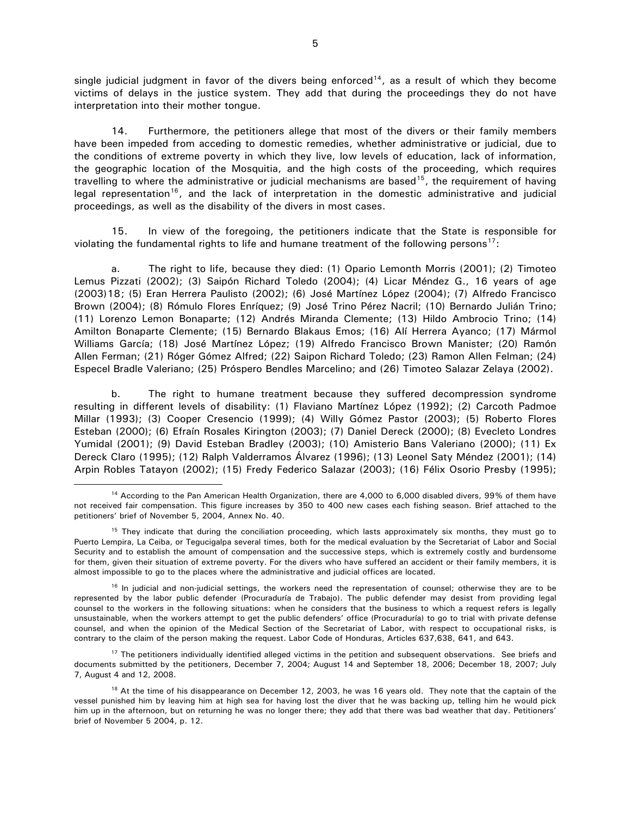single judicial judgment in favor of the divers being enforced<sup>[14](#page-4-0)</sup>, as a result of which they become victims of delays in the justice system. They add that during the proceedings they do not have interpretation into their mother tongue.

14. Furthermore, the petitioners allege that most of the divers or their family members have been impeded from acceding to domestic remedies, whether administrative or judicial, due to the conditions of extreme poverty in which they live, low levels of education, lack of information, the geographic location of the Mosquitia, and the high costs of the proceeding, which requires travelling to where the administrative or judicial mechanisms are based<sup>[15](#page-4-1)</sup>, the requirement of having legal representation<sup>[16](#page-4-2)</sup>, and the lack of interpretation in the domestic administrative and judicial proceedings, as well as the disability of the divers in most cases.

15. In view of the foregoing, the petitioners indicate that the State is responsible for violating the fundamental rights to life and humane treatment of the following persons<sup>[17](#page-4-3)</sup>:

 a. The right to life, because they died: (1) Opario Lemonth Morris (2001); (2) Timoteo Lemus Pizzati (2002); (3) Saipón Richard Toledo (2004); (4) Licar Méndez G., 16 years of age (2003)[18](#page-4-4); (5) Eran Herrera Paulisto (2002); (6) José Martínez López (2004); (7) Alfredo Francisco Brown (2004); (8) Rómulo Flores Enríquez; (9) José Trino Pérez Nacril; (10) Bernardo Julián Trino; (11) Lorenzo Lemon Bonaparte; (12) Andrés Miranda Clemente; (13) Hildo Ambrocio Trino; (14) Amilton Bonaparte Clemente; (15) Bernardo Blakaus Emos; (16) Alí Herrera Ayanco; (17) Mármol Williams García; (18) José Martínez López; (19) Alfredo Francisco Brown Manister; (20) Ramón Allen Ferman; (21) Róger Gómez Alfred; (22) Saipon Richard Toledo; (23) Ramon Allen Felman; (24) Especel Bradle Valeriano; (25) Próspero Bendles Marcelino; and (26) Timoteo Salazar Zelaya (2002).

b. The right to humane treatment because they suffered decompression syndrome resulting in different levels of disability: (1) Flaviano Martínez López (1992); (2) Carcoth Padmoe Millar (1993); (3) Cooper Cresencio (1999); (4) Willy Gómez Pastor (2003); (5) Roberto Flores Esteban (2000); (6) Efraín Rosales Kirington (2003); (7) Daniel Dereck (2000); (8) Evecleto Londres Yumidal (2001); (9) David Esteban Bradley (2003); (10) Amisterio Bans Valeriano (2000); (11) Ex Dereck Claro (1995); (12) Ralph Valderramos Álvarez (1996); (13) Leonel Saty Méndez (2001); (14) Arpin Robles Tatayon (2002); (15) Fredy Federico Salazar (2003); (16) Félix Osorio Presby (1995);

<span id="page-4-0"></span><sup>&</sup>lt;sup>14</sup> According to the Pan American Health Organization, there are 4,000 to 6,000 disabled divers, 99% of them have not received fair compensation. This figure increases by 350 to 400 new cases each fishing season. Brief attached to the petitioners' brief of November 5, 2004, Annex No. 40.

<span id="page-4-1"></span><sup>&</sup>lt;sup>15</sup> They indicate that during the conciliation proceeding, which lasts approximately six months, they must go to Puerto Lempira, La Ceiba, or Tegucigalpa several times, both for the medical evaluation by the Secretariat of Labor and Social Security and to establish the amount of compensation and the successive steps, which is extremely costly and burdensome for them, given their situation of extreme poverty. For the divers who have suffered an accident or their family members, it is almost impossible to go to the places where the administrative and judicial offices are located.

<span id="page-4-2"></span><sup>&</sup>lt;sup>16</sup> In judicial and non-judicial settings, the workers need the representation of counsel; otherwise they are to be represented by the labor public defender (Procuraduría de Trabajo). The public defender may desist from providing legal counsel to the workers in the following situations: when he considers that the business to which a request refers is legally unsustainable, when the workers attempt to get the public defenders' office (Procuraduría) to go to trial with private defense counsel, and when the opinion of the Medical Section of the Secretariat of Labor, with respect to occupational risks, is contrary to the claim of the person making the request. Labor Code of Honduras, Articles 637,638, 641, and 643.

<span id="page-4-3"></span><sup>&</sup>lt;sup>17</sup> The petitioners individually identified alleged victims in the petition and subsequent observations. See briefs and documents submitted by the petitioners, December 7, 2004; August 14 and September 18, 2006; December 18, 2007; July 7, August 4 and 12, 2008.

<span id="page-4-4"></span> $18$  At the time of his disappearance on December 12, 2003, he was 16 years old. They note that the captain of the vessel punished him by leaving him at high sea for having lost the diver that he was backing up, telling him he would pick him up in the afternoon, but on returning he was no longer there; they add that there was bad weather that day. Petitioners' brief of November 5 2004, p. 12.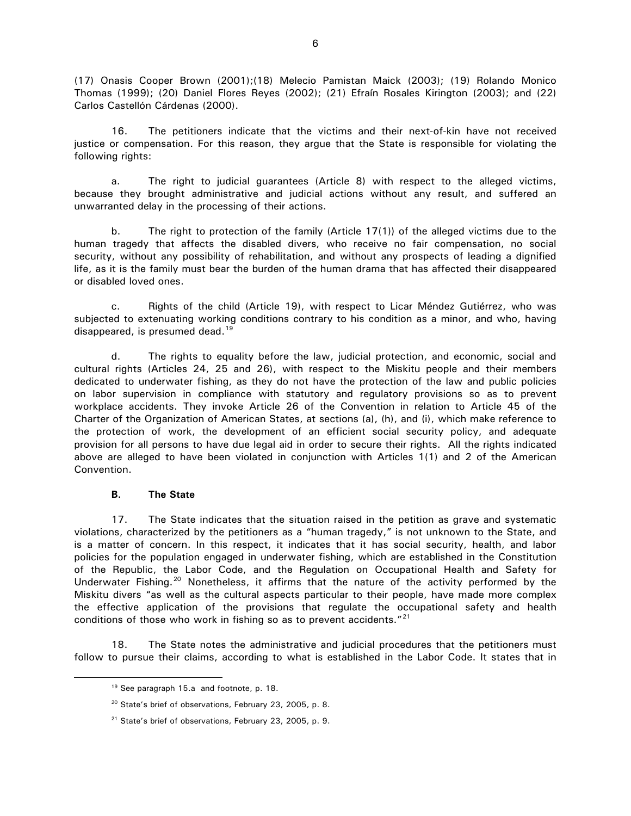(17) Onasis Cooper Brown (2001);(18) Melecio Pamistan Maick (2003); (19) Rolando Monico Thomas (1999); (20) Daniel Flores Reyes (2002); (21) Efraín Rosales Kirington (2003); and (22) Carlos Castellón Cárdenas (2000).

16. The petitioners indicate that the victims and their next-of-kin have not received justice or compensation. For this reason, they argue that the State is responsible for violating the following rights:

a. The right to judicial guarantees (Article 8) with respect to the alleged victims, because they brought administrative and judicial actions without any result, and suffered an unwarranted delay in the processing of their actions.

b. The right to protection of the family (Article 17(1)) of the alleged victims due to the human tragedy that affects the disabled divers, who receive no fair compensation, no social security, without any possibility of rehabilitation, and without any prospects of leading a dignified life, as it is the family must bear the burden of the human drama that has affected their disappeared or disabled loved ones.

c. Rights of the child (Article 19), with respect to Licar Méndez Gutiérrez, who was subjected to extenuating working conditions contrary to his condition as a minor, and who, having disappeared, is presumed dead.<sup>[19](#page-5-0)</sup>

d. The rights to equality before the law, judicial protection, and economic, social and cultural rights (Articles 24, 25 and 26), with respect to the Miskitu people and their members dedicated to underwater fishing, as they do not have the protection of the law and public policies on labor supervision in compliance with statutory and regulatory provisions so as to prevent workplace accidents. They invoke Article 26 of the Convention in relation to Article 45 of the Charter of the Organization of American States, at sections (a), (h), and (i), which make reference to the protection of work, the development of an efficient social security policy, and adequate provision for all persons to have due legal aid in order to secure their rights. All the rights indicated above are alleged to have been violated in conjunction with Articles 1(1) and 2 of the American Convention.

### **B. The State**

<span id="page-5-2"></span><span id="page-5-1"></span><span id="page-5-0"></span> $\overline{a}$ 

17. The State indicates that the situation raised in the petition as grave and systematic violations, characterized by the petitioners as a "human tragedy," is not unknown to the State, and is a matter of concern. In this respect, it indicates that it has social security, health, and labor policies for the population engaged in underwater fishing, which are established in the Constitution of the Republic, the Labor Code, and the Regulation on Occupational Health and Safety for Underwater Fishing.<sup>[20](#page-5-1)</sup> Nonetheless, it affirms that the nature of the activity performed by the Miskitu divers "as well as the cultural aspects particular to their people, have made more complex the effective application of the provisions that regulate the occupational safety and health conditions of those who work in fishing so as to prevent accidents.<sup>"[21](#page-5-2)</sup>

18. The State notes the administrative and judicial procedures that the petitioners must follow to pursue their claims, according to what is established in the Labor Code. It states that in

<sup>&</sup>lt;sup>19</sup> See paragraph 15.a and footnote, p. 18.

<sup>&</sup>lt;sup>20</sup> State's brief of observations, February 23, 2005, p. 8.

<sup>21</sup> State's brief of observations, February 23, 2005, p. 9.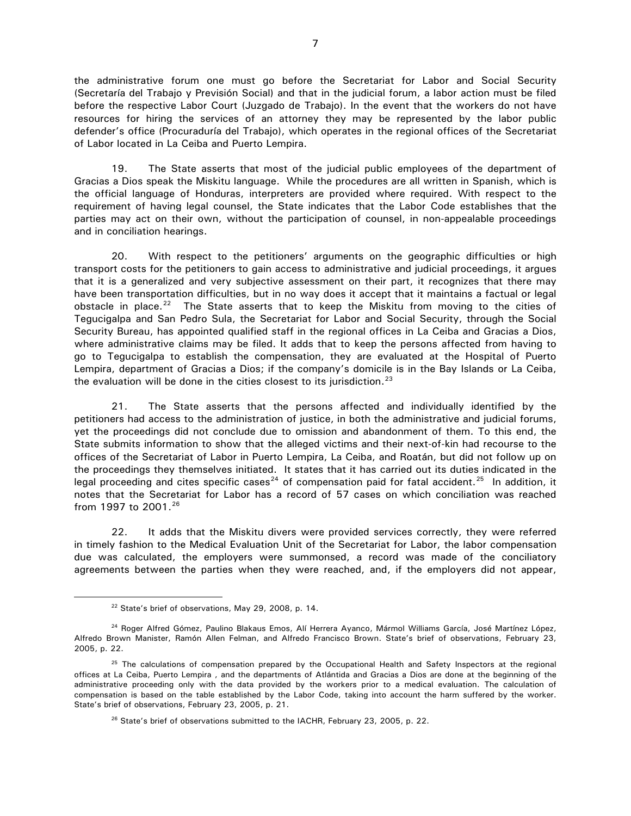the administrative forum one must go before the Secretariat for Labor and Social Security (Secretaría del Trabajo y Previsión Social) and that in the judicial forum, a labor action must be filed before the respective Labor Court (Juzgado de Trabajo). In the event that the workers do not have resources for hiring the services of an attorney they may be represented by the labor public defender's office (Procuraduría del Trabajo), which operates in the regional offices of the Secretariat of Labor located in La Ceiba and Puerto Lempira.

19. The State asserts that most of the judicial public employees of the department of Gracias a Dios speak the Miskitu language. While the procedures are all written in Spanish, which is the official language of Honduras, interpreters are provided where required. With respect to the requirement of having legal counsel, the State indicates that the Labor Code establishes that the parties may act on their own, without the participation of counsel, in non-appealable proceedings and in conciliation hearings.

20. With respect to the petitioners' arguments on the geographic difficulties or high transport costs for the petitioners to gain access to administrative and judicial proceedings, it argues that it is a generalized and very subjective assessment on their part, it recognizes that there may have been transportation difficulties, but in no way does it accept that it maintains a factual or legal obstacle in place.<sup>[22](#page-6-0)</sup> The State asserts that to keep the Miskitu from moving to the cities of Tegucigalpa and San Pedro Sula, the Secretariat for Labor and Social Security, through the Social Security Bureau, has appointed qualified staff in the regional offices in La Ceiba and Gracias a Dios, where administrative claims may be filed. It adds that to keep the persons affected from having to go to Tegucigalpa to establish the compensation, they are evaluated at the Hospital of Puerto Lempira, department of Gracias a Dios; if the company's domicile is in the Bay Islands or La Ceiba, the evaluation will be done in the cities closest to its jurisdiction.<sup>[23](#page-6-1)</sup>

21. The State asserts that the persons affected and individually identified by the petitioners had access to the administration of justice, in both the administrative and judicial forums, yet the proceedings did not conclude due to omission and abandonment of them. To this end, the State submits information to show that the alleged victims and their next-of-kin had recourse to the offices of the Secretariat of Labor in Puerto Lempira, La Ceiba, and Roatán, but did not follow up on the proceedings they themselves initiated. It states that it has carried out its duties indicated in the legal proceeding and cites specific cases<sup>[24](#page-6-2)</sup> of compensation paid for fatal accident.<sup>[25](#page-6-3)</sup> In addition, it notes that the Secretariat for Labor has a record of 57 cases on which conciliation was reached from 1997 to 2001.<sup>[26](#page-6-4)</sup>

22. It adds that the Miskitu divers were provided services correctly, they were referred in timely fashion to the Medical Evaluation Unit of the Secretariat for Labor, the labor compensation due was calculated, the employers were summonsed, a record was made of the conciliatory agreements between the parties when they were reached, and, if the employers did not appear,

<sup>&</sup>lt;sup>22</sup> State's brief of observations, May 29, 2008, p. 14.

<span id="page-6-2"></span><span id="page-6-1"></span><span id="page-6-0"></span><sup>&</sup>lt;sup>24</sup> Roger Alfred Gómez, Paulino Blakaus Emos, Alí Herrera Ayanco, Mármol Williams García, José Martínez López, Alfredo Brown Manister, Ramón Allen Felman, and Alfredo Francisco Brown. State's brief of observations, February 23, 2005, p. 22.

<span id="page-6-4"></span><span id="page-6-3"></span> $25$  The calculations of compensation prepared by the Occupational Health and Safety Inspectors at the regional offices at La Ceiba, Puerto Lempira , and the departments of Atlántida and Gracias a Dios are done at the beginning of the administrative proceeding only with the data provided by the workers prior to a medical evaluation. The calculation of compensation is based on the table established by the Labor Code, taking into account the harm suffered by the worker. State's brief of observations, February 23, 2005, p. 21.

<sup>&</sup>lt;sup>26</sup> State's brief of observations submitted to the IACHR, February 23, 2005, p. 22.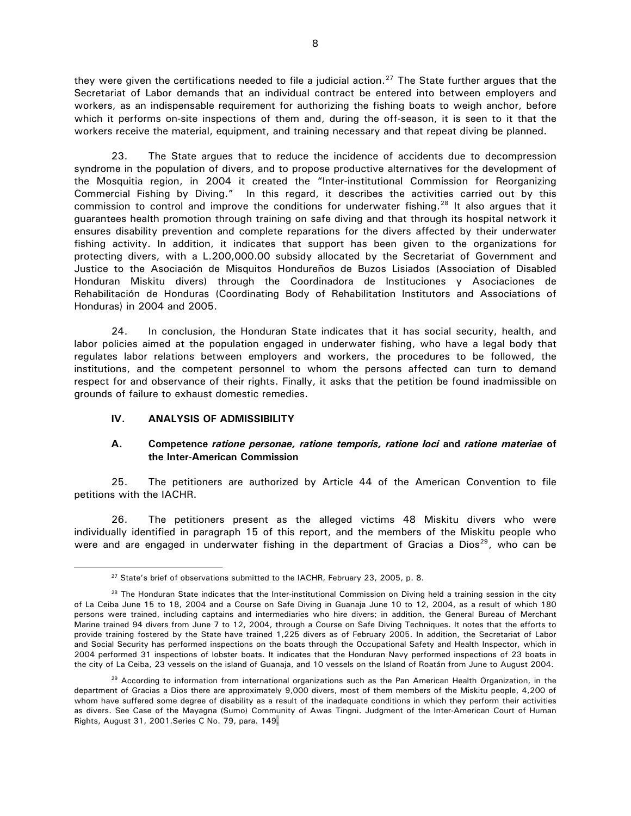they were given the certifications needed to file a judicial action.<sup>[27](#page-7-0)</sup> The State further argues that the Secretariat of Labor demands that an individual contract be entered into between employers and workers, as an indispensable requirement for authorizing the fishing boats to weigh anchor, before which it performs on-site inspections of them and, during the off-season, it is seen to it that the workers receive the material, equipment, and training necessary and that repeat diving be planned.

23. The State argues that to reduce the incidence of accidents due to decompression syndrome in the population of divers, and to propose productive alternatives for the development of the Mosquitia region, in 2004 it created the "Inter-institutional Commission for Reorganizing Commercial Fishing by Diving." In this regard, it describes the activities carried out by this commission to control and improve the conditions for underwater fishing.<sup>[28](#page-7-1)</sup> It also argues that it guarantees health promotion through training on safe diving and that through its hospital network it ensures disability prevention and complete reparations for the divers affected by their underwater fishing activity. In addition, it indicates that support has been given to the organizations for protecting divers, with a L.200,000.00 subsidy allocated by the Secretariat of Government and Justice to the Asociación de Misquitos Hondureños de Buzos Lisiados (Association of Disabled Honduran Miskitu divers) through the Coordinadora de Instituciones y Asociaciones de Rehabilitación de Honduras (Coordinating Body of Rehabilitation Institutors and Associations of Honduras) in 2004 and 2005.

24. In conclusion, the Honduran State indicates that it has social security, health, and labor policies aimed at the population engaged in underwater fishing, who have a legal body that regulates labor relations between employers and workers, the procedures to be followed, the institutions, and the competent personnel to whom the persons affected can turn to demand respect for and observance of their rights. Finally, it asks that the petition be found inadmissible on grounds of failure to exhaust domestic remedies.

# **IV. ANALYSIS OF ADMISSIBILITY**

 $\overline{a}$ 

## **A. Competence** *ratione personae, ratione temporis, ratione loci* **and** *ratione materiae* **of the Inter-American Commission**

25. The petitioners are authorized by Article 44 of the American Convention to file petitions with the IACHR.

26. The petitioners present as the alleged victims 48 Miskitu divers who were individually identified in paragraph 15 of this report, and the members of the Miskitu people who were and are engaged in underwater fishing in the department of Gracias a Dios<sup>[29](#page-7-2)</sup>, who can be

<sup>&</sup>lt;sup>27</sup> State's brief of observations submitted to the IACHR, February 23, 2005, p. 8.

<span id="page-7-1"></span><span id="page-7-0"></span> $28$  The Honduran State indicates that the Inter-institutional Commission on Diving held a training session in the city of La Ceiba June 15 to 18, 2004 and a Course on Safe Diving in Guanaja June 10 to 12, 2004, as a result of which 180 persons were trained, including captains and intermediaries who hire divers; in addition, the General Bureau of Merchant Marine trained 94 divers from June 7 to 12, 2004, through a Course on Safe Diving Techniques. It notes that the efforts to provide training fostered by the State have trained 1,225 divers as of February 2005. In addition, the Secretariat of Labor and Social Security has performed inspections on the boats through the Occupational Safety and Health Inspector, which in 2004 performed 31 inspections of lobster boats. It indicates that the Honduran Navy performed inspections of 23 boats in the city of La Ceiba, 23 vessels on the island of Guanaja, and 10 vessels on the Island of Roatán from June to August 2004.

<span id="page-7-2"></span><sup>&</sup>lt;sup>29</sup> According to information from international organizations such as the Pan American Health Organization, in the department of Gracias a Dios there are approximately 9,000 divers, most of them members of the Miskitu people, 4,200 of whom have suffered some degree of disability as a result of the inadequate conditions in which they perform their activities as divers. See Case of the Mayagna (Sumo) Community of Awas Tingni. Judgment of the Inter-American Court of Human Rights, August 31, 2001.Series C No. 79, para. 149.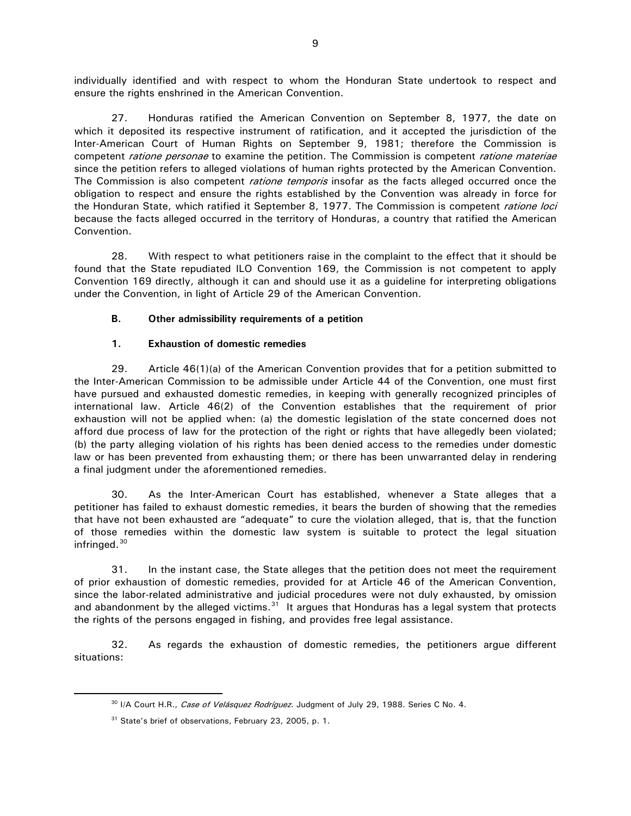individually identified and with respect to whom the Honduran State undertook to respect and ensure the rights enshrined in the American Convention.

27. Honduras ratified the American Convention on September 8, 1977, the date on which it deposited its respective instrument of ratification, and it accepted the jurisdiction of the Inter-American Court of Human Rights on September 9, 1981; therefore the Commission is competent *ratione personae* to examine the petition. The Commission is competent *ratione materiae* since the petition refers to alleged violations of human rights protected by the American Convention. The Commission is also competent *ratione temporis* insofar as the facts alleged occurred once the obligation to respect and ensure the rights established by the Convention was already in force for the Honduran State, which ratified it September 8, 1977. The Commission is competent *ratione loci* because the facts alleged occurred in the territory of Honduras, a country that ratified the American Convention.

28. With respect to what petitioners raise in the complaint to the effect that it should be found that the State repudiated ILO Convention 169, the Commission is not competent to apply Convention 169 directly, although it can and should use it as a guideline for interpreting obligations under the Convention, in light of Article 29 of the American Convention.

# **B. Other admissibility requirements of a petition**

## **1. Exhaustion of domestic remedies**

29. Article 46(1)(a) of the American Convention provides that for a petition submitted to the Inter-American Commission to be admissible under Article 44 of the Convention, one must first have pursued and exhausted domestic remedies, in keeping with generally recognized principles of international law. Article 46(2) of the Convention establishes that the requirement of prior exhaustion will not be applied when: (a) the domestic legislation of the state concerned does not afford due process of law for the protection of the right or rights that have allegedly been violated; (b) the party alleging violation of his rights has been denied access to the remedies under domestic law or has been prevented from exhausting them; or there has been unwarranted delay in rendering a final judgment under the aforementioned remedies.

30. As the Inter-American Court has established, whenever a State alleges that a petitioner has failed to exhaust domestic remedies, it bears the burden of showing that the remedies that have not been exhausted are "adequate" to cure the violation alleged, that is, that the function of those remedies within the domestic law system is suitable to protect the legal situation infringed.[30](#page-8-0)

31. In the instant case, the State alleges that the petition does not meet the requirement of prior exhaustion of domestic remedies, provided for at Article 46 of the American Convention, since the labor-related administrative and judicial procedures were not duly exhausted, by omission and abandonment by the alleged victims. $31$  It argues that Honduras has a legal system that protects the rights of the persons engaged in fishing, and provides free legal assistance.

<span id="page-8-1"></span><span id="page-8-0"></span>32. As regards the exhaustion of domestic remedies, the petitioners argue different situations:

<sup>&</sup>lt;sup>30</sup> I/A Court H.R., Case of Velásquez Rodríguez. Judgment of July 29, 1988. Series C No. 4.

<sup>31</sup> State's brief of observations, February 23, 2005, p. 1.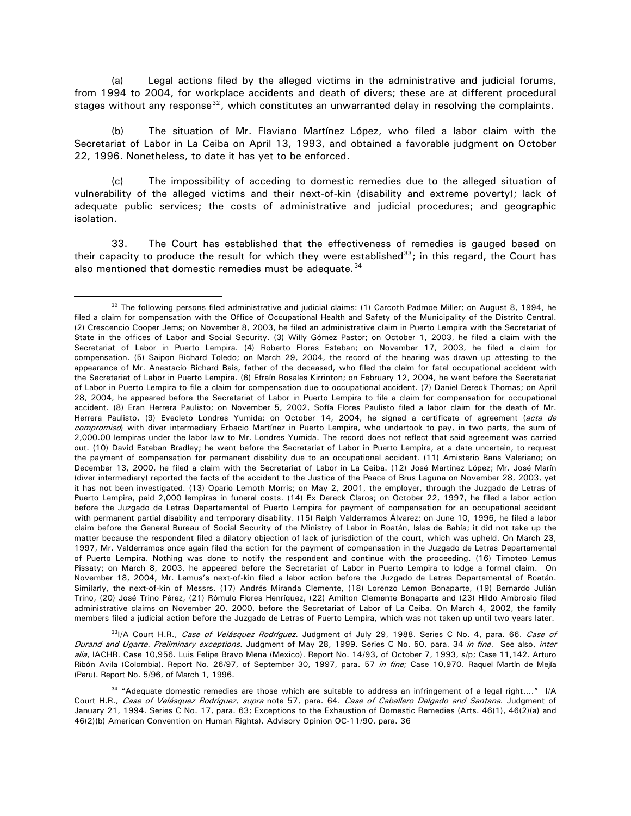(a) Legal actions filed by the alleged victims in the administrative and judicial forums, from 1994 to 2004, for workplace accidents and death of divers; these are at different procedural stages without any response<sup>[32](#page-9-0)</sup>, which constitutes an unwarranted delay in resolving the complaints.

(b) The situation of Mr. Flaviano Martínez López, who filed a labor claim with the Secretariat of Labor in La Ceiba on April 13, 1993, and obtained a favorable judgment on October 22, 1996. Nonetheless, to date it has yet to be enforced.

(c) The impossibility of acceding to domestic remedies due to the alleged situation of vulnerability of the alleged victims and their next-of-kin (disability and extreme poverty); lack of adequate public services; the costs of administrative and judicial procedures; and geographic isolation.

33. The Court has established that the effectiveness of remedies is gauged based on their capacity to produce the result for which they were established $^{33}$  $^{33}$  $^{33}$ ; in this regard, the Court has also mentioned that domestic remedies must be adequate.<sup>[34](#page-9-2)</sup>

 $\overline{a}$ 

<span id="page-9-1"></span>33I/A Court H.R., Case of Velásquez Rodríguez. Judgment of July 29, 1988. Series C No. 4, para. 66. Case of Durand and Ugarte. Preliminary exceptions. Judgment of May 28, 1999. Series C No. 50, para. 34 in fine. See also, inter alia, IACHR. Case 10,956. Luis Felipe Bravo Mena (Mexico). Report No. 14/93, of October 7, 1993, s/p; Case 11,142. Arturo Ribón Avila (Colombia). Report No. 26/97, of September 30, 1997, para. 57 in fine; Case 10,970. Raquel Martín de Mejía (Peru). Report No. 5/96, of March 1, 1996.

<span id="page-9-0"></span> $32$  The following persons filed administrative and judicial claims: (1) Carcoth Padmoe Miller; on August 8, 1994, he filed a claim for compensation with the Office of Occupational Health and Safety of the Municipality of the Distrito Central. (2) Crescencio Cooper Jems; on November 8, 2003, he filed an administrative claim in Puerto Lempira with the Secretariat of State in the offices of Labor and Social Security. (3) Willy Gómez Pastor; on October 1, 2003, he filed a claim with the Secretariat of Labor in Puerto Lempira. (4) Roberto Flores Esteban; on November 17, 2003, he filed a claim for compensation. (5) Saipon Richard Toledo; on March 29, 2004, the record of the hearing was drawn up attesting to the appearance of Mr. Anastacio Richard Bais, father of the deceased, who filed the claim for fatal occupational accident with the Secretariat of Labor in Puerto Lempira. (6) Efraín Rosales Kirrinton; on February 12, 2004, he went before the Secretariat of Labor in Puerto Lempira to file a claim for compensation due to occupational accident. (7) Daniel Dereck Thomas; on April 28, 2004, he appeared before the Secretariat of Labor in Puerto Lempira to file a claim for compensation for occupational accident. (8) Eran Herrera Paulisto; on November 5, 2002, Sofía Flores Paulisto filed a labor claim for the death of Mr. Herrera Paulisto. (9) Evecleto Londres Yumida; on October 14, 2004, he signed a certificate of agreement (acta de compromiso) with diver intermediary Erbacio Martínez in Puerto Lempira, who undertook to pay, in two parts, the sum of 2,000.00 lempiras under the labor law to Mr. Londres Yumida. The record does not reflect that said agreement was carried out. (10) David Esteban Bradley; he went before the Secretariat of Labor in Puerto Lempira, at a date uncertain, to request the payment of compensation for permanent disability due to an occupational accident. (11) Amisterio Bans Valeriano; on December 13, 2000, he filed a claim with the Secretariat of Labor in La Ceiba. (12) José Martínez López; Mr. José Marín (diver intermediary) reported the facts of the accident to the Justice of the Peace of Brus Laguna on November 28, 2003, yet it has not been investigated. (13) Opario Lemoth Morris; on May 2, 2001, the employer, through the Juzgado de Letras of Puerto Lempira, paid 2,000 lempiras in funeral costs. (14) Ex Dereck Claros; on October 22, 1997, he filed a labor action before the Juzgado de Letras Departamental of Puerto Lempira for payment of compensation for an occupational accident with permanent partial disability and temporary disability. (15) Ralph Valderramos Álvarez; on June 10, 1996, he filed a labor claim before the General Bureau of Social Security of the Ministry of Labor in Roatán, Islas de Bahía; it did not take up the matter because the respondent filed a dilatory objection of lack of jurisdiction of the court, which was upheld. On March 23, 1997, Mr. Valderramos once again filed the action for the payment of compensation in the Juzgado de Letras Departamental of Puerto Lempira. Nothing was done to notify the respondent and continue with the proceeding. (16) Timoteo Lemus Pissaty; on March 8, 2003, he appeared before the Secretariat of Labor in Puerto Lempira to lodge a formal claim. On November 18, 2004, Mr. Lemus's next-of-kin filed a labor action before the Juzgado de Letras Departamental of Roatán. Similarly, the next-of-kin of Messrs. (17) Andrés Miranda Clemente, (18) Lorenzo Lemon Bonaparte, (19) Bernardo Julián Trino, (20) José Trino Pérez, (21) Rómulo Flores Henríquez, (22) Amilton Clemente Bonaparte and (23) Hildo Ambrosio filed administrative claims on November 20, 2000, before the Secretariat of Labor of La Ceiba. On March 4, 2002, the family members filed a judicial action before the Juzgado de Letras of Puerto Lempira, which was not taken up until two years later.

<span id="page-9-2"></span> $34$  "Adequate domestic remedies are those which are suitable to address an infringement of a legal right...." I/A Court H.R., Case of Velásquez Rodríguez, supra note 57, para. 64. Case of Caballero Delgado and Santana. Judgment of January 21, 1994. Series C No. 17, para. 63; Exceptions to the Exhaustion of Domestic Remedies (Arts. 46(1), 46(2)(a) and 46(2)(b) American Convention on Human Rights). Advisory Opinion OC-11/90. para. 36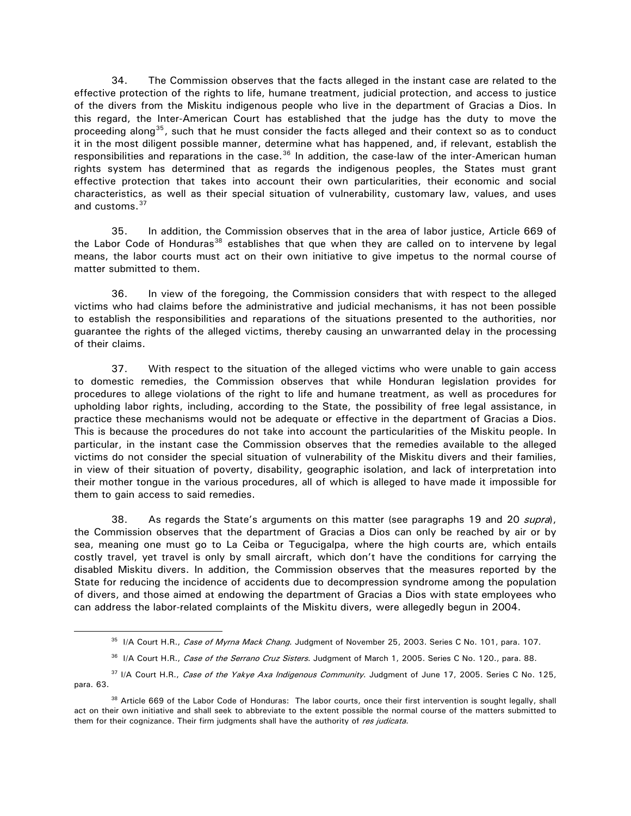34. The Commission observes that the facts alleged in the instant case are related to the effective protection of the rights to life, humane treatment, judicial protection, and access to justice of the divers from the Miskitu indigenous people who live in the department of Gracias a Dios. In this regard, the Inter-American Court has established that the judge has the duty to move the proceeding along<sup>[35](#page-10-0)</sup>, such that he must consider the facts alleged and their context so as to conduct it in the most diligent possible manner, determine what has happened, and, if relevant, establish the responsibilities and reparations in the case.<sup>36</sup> In addition, the case-law of the inter-American human rights system has determined that as regards the indigenous peoples, the States must grant effective protection that takes into account their own particularities, their economic and social characteristics, as well as their special situation of vulnerability, customary law, values, and uses and customs.<sup>[37](#page-10-2)</sup>

35. In addition, the Commission observes that in the area of labor justice, Article 669 of the Labor Code of Honduras<sup>[38](#page-10-3)</sup> establishes that que when they are called on to intervene by legal means, the labor courts must act on their own initiative to give impetus to the normal course of matter submitted to them.

36. In view of the foregoing, the Commission considers that with respect to the alleged victims who had claims before the administrative and judicial mechanisms, it has not been possible to establish the responsibilities and reparations of the situations presented to the authorities, nor guarantee the rights of the alleged victims, thereby causing an unwarranted delay in the processing of their claims.

37. With respect to the situation of the alleged victims who were unable to gain access to domestic remedies, the Commission observes that while Honduran legislation provides for procedures to allege violations of the right to life and humane treatment, as well as procedures for upholding labor rights, including, according to the State, the possibility of free legal assistance, in practice these mechanisms would not be adequate or effective in the department of Gracias a Dios. This is because the procedures do not take into account the particularities of the Miskitu people. In particular, in the instant case the Commission observes that the remedies available to the alleged victims do not consider the special situation of vulnerability of the Miskitu divers and their families, in view of their situation of poverty, disability, geographic isolation, and lack of interpretation into their mother tongue in the various procedures, all of which is alleged to have made it impossible for them to gain access to said remedies.

38. As regards the State's arguments on this matter (see paragraphs 19 and 20 *supra*), the Commission observes that the department of Gracias a Dios can only be reached by air or by sea, meaning one must go to La Ceiba or Tegucigalpa, where the high courts are, which entails costly travel, yet travel is only by small aircraft, which don't have the conditions for carrying the disabled Miskitu divers. In addition, the Commission observes that the measures reported by the State for reducing the incidence of accidents due to decompression syndrome among the population of divers, and those aimed at endowing the department of Gracias a Dios with state employees who can address the labor-related complaints of the Miskitu divers, were allegedly begun in 2004.

36 I/A Court H.R., Case of the Serrano Cruz Sisters. Judgment of March 1, 2005. Series C No. 120., para. 88.

<sup>&</sup>lt;sup>35</sup> I/A Court H.R., Case of Myrna Mack Chang. Judgment of November 25, 2003. Series C No. 101, para. 107.

<span id="page-10-2"></span><span id="page-10-1"></span><span id="page-10-0"></span><sup>&</sup>lt;sup>37</sup> I/A Court H.R., Case of the Yakye Axa Indigenous Community. Judgment of June 17, 2005. Series C No. 125, para. 63.

<span id="page-10-3"></span><sup>38</sup> Article 669 of the Labor Code of Honduras:The labor courts, once their first intervention is sought legally, shall act on their own initiative and shall seek to abbreviate to the extent possible the normal course of the matters submitted to them for their cognizance. Their firm judgments shall have the authority of res judicata.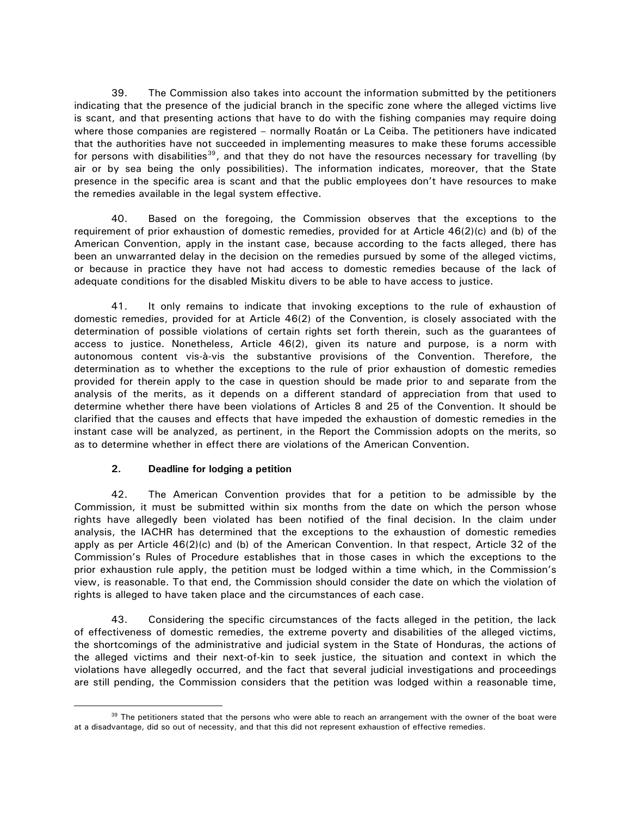39. The Commission also takes into account the information submitted by the petitioners indicating that the presence of the judicial branch in the specific zone where the alleged victims live is scant, and that presenting actions that have to do with the fishing companies may require doing where those companies are registered – normally Roatán or La Ceiba. The petitioners have indicated that the authorities have not succeeded in implementing measures to make these forums accessible for persons with disabilities<sup>[39](#page-11-0)</sup>, and that they do not have the resources necessary for travelling (by air or by sea being the only possibilities). The information indicates, moreover, that the State presence in the specific area is scant and that the public employees don't have resources to make the remedies available in the legal system effective.

40. Based on the foregoing, the Commission observes that the exceptions to the requirement of prior exhaustion of domestic remedies, provided for at Article 46(2)(c) and (b) of the American Convention, apply in the instant case, because according to the facts alleged, there has been an unwarranted delay in the decision on the remedies pursued by some of the alleged victims, or because in practice they have not had access to domestic remedies because of the lack of adequate conditions for the disabled Miskitu divers to be able to have access to justice.

41. It only remains to indicate that invoking exceptions to the rule of exhaustion of domestic remedies, provided for at Article 46(2) of the Convention, is closely associated with the determination of possible violations of certain rights set forth therein, such as the guarantees of access to justice. Nonetheless, Article 46(2), given its nature and purpose, is a norm with autonomous content vis-à-vis the substantive provisions of the Convention. Therefore, the determination as to whether the exceptions to the rule of prior exhaustion of domestic remedies provided for therein apply to the case in question should be made prior to and separate from the analysis of the merits, as it depends on a different standard of appreciation from that used to determine whether there have been violations of Articles 8 and 25 of the Convention. It should be clarified that the causes and effects that have impeded the exhaustion of domestic remedies in the instant case will be analyzed, as pertinent, in the Report the Commission adopts on the merits, so as to determine whether in effect there are violations of the American Convention.

# **2. Deadline for lodging a petition**

 $\overline{a}$ 

42. The American Convention provides that for a petition to be admissible by the Commission, it must be submitted within six months from the date on which the person whose rights have allegedly been violated has been notified of the final decision. In the claim under analysis, the IACHR has determined that the exceptions to the exhaustion of domestic remedies apply as per Article 46(2)(c) and (b) of the American Convention. In that respect, Article 32 of the Commission's Rules of Procedure establishes that in those cases in which the exceptions to the prior exhaustion rule apply, the petition must be lodged within a time which, in the Commission's view, is reasonable. To that end, the Commission should consider the date on which the violation of rights is alleged to have taken place and the circumstances of each case.

43. Considering the specific circumstances of the facts alleged in the petition, the lack of effectiveness of domestic remedies, the extreme poverty and disabilities of the alleged victims, the shortcomings of the administrative and judicial system in the State of Honduras, the actions of the alleged victims and their next-of-kin to seek justice, the situation and context in which the violations have allegedly occurred, and the fact that several judicial investigations and proceedings are still pending, the Commission considers that the petition was lodged within a reasonable time,

<span id="page-11-0"></span><sup>&</sup>lt;sup>39</sup> The petitioners stated that the persons who were able to reach an arrangement with the owner of the boat were at a disadvantage, did so out of necessity, and that this did not represent exhaustion of effective remedies.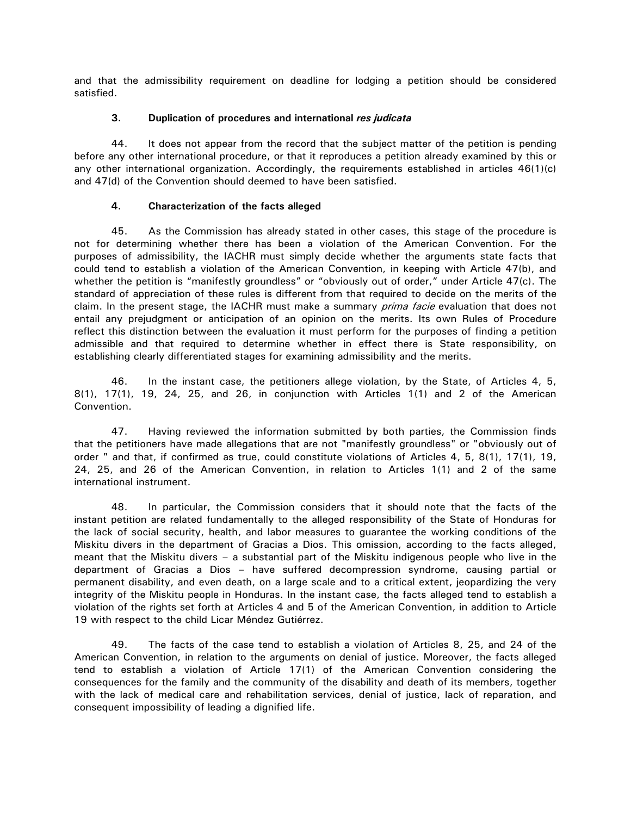and that the admissibility requirement on deadline for lodging a petition should be considered satisfied.

### **3. Duplication of procedures and international** *res judicata*

44. It does not appear from the record that the subject matter of the petition is pending before any other international procedure, or that it reproduces a petition already examined by this or any other international organization. Accordingly, the requirements established in articles 46(1)(c) and 47(d) of the Convention should deemed to have been satisfied.

## **4. Characterization of the facts alleged**

45. As the Commission has already stated in other cases, this stage of the procedure is not for determining whether there has been a violation of the American Convention. For the purposes of admissibility, the IACHR must simply decide whether the arguments state facts that could tend to establish a violation of the American Convention, in keeping with Article 47(b), and whether the petition is "manifestly groundless" or "obviously out of order," under Article 47(c). The standard of appreciation of these rules is different from that required to decide on the merits of the claim. In the present stage, the IACHR must make a summary prima facie evaluation that does not entail any prejudgment or anticipation of an opinion on the merits. Its own Rules of Procedure reflect this distinction between the evaluation it must perform for the purposes of finding a petition admissible and that required to determine whether in effect there is State responsibility, on establishing clearly differentiated stages for examining admissibility and the merits.

46. In the instant case, the petitioners allege violation, by the State, of Articles 4, 5, 8(1), 17(1), 19, 24, 25, and 26, in conjunction with Articles 1(1) and 2 of the American Convention.

47. Having reviewed the information submitted by both parties, the Commission finds that the petitioners have made allegations that are not "manifestly groundless" or "obviously out of order " and that, if confirmed as true, could constitute violations of Articles 4, 5, 8(1), 17(1), 19, 24, 25, and 26 of the American Convention, in relation to Articles 1(1) and 2 of the same international instrument.

48. In particular, the Commission considers that it should note that the facts of the instant petition are related fundamentally to the alleged responsibility of the State of Honduras for the lack of social security, health, and labor measures to guarantee the working conditions of the Miskitu divers in the department of Gracias a Dios. This omission, according to the facts alleged, meant that the Miskitu divers – a substantial part of the Miskitu indigenous people who live in the department of Gracias a Dios – have suffered decompression syndrome, causing partial or permanent disability, and even death, on a large scale and to a critical extent, jeopardizing the very integrity of the Miskitu people in Honduras. In the instant case, the facts alleged tend to establish a violation of the rights set forth at Articles 4 and 5 of the American Convention, in addition to Article 19 with respect to the child Licar Méndez Gutiérrez.

49. The facts of the case tend to establish a violation of Articles 8, 25, and 24 of the American Convention, in relation to the arguments on denial of justice. Moreover, the facts alleged tend to establish a violation of Article 17(1) of the American Convention considering the consequences for the family and the community of the disability and death of its members, together with the lack of medical care and rehabilitation services, denial of justice, lack of reparation, and consequent impossibility of leading a dignified life.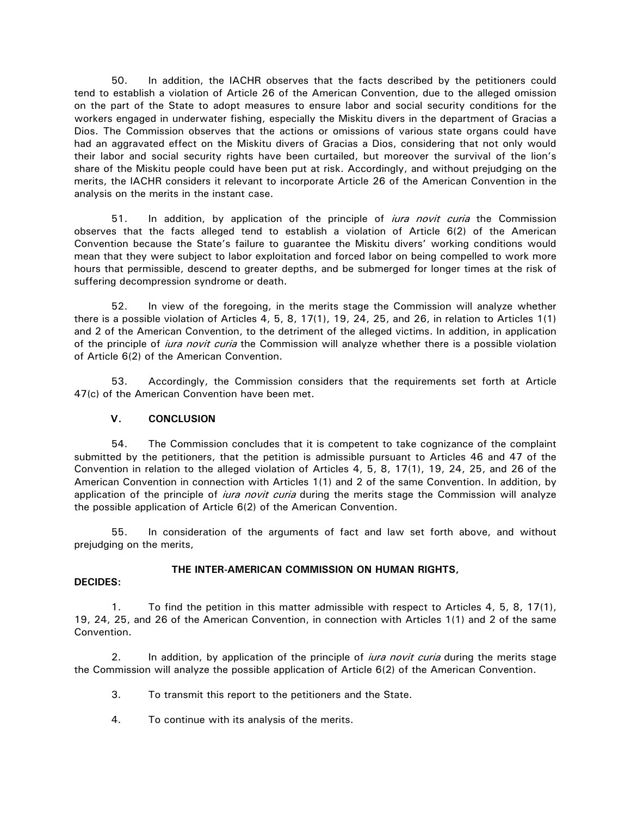50. In addition, the IACHR observes that the facts described by the petitioners could tend to establish a violation of Article 26 of the American Convention, due to the alleged omission on the part of the State to adopt measures to ensure labor and social security conditions for the workers engaged in underwater fishing, especially the Miskitu divers in the department of Gracias a Dios. The Commission observes that the actions or omissions of various state organs could have had an aggravated effect on the Miskitu divers of Gracias a Dios, considering that not only would their labor and social security rights have been curtailed, but moreover the survival of the lion's share of the Miskitu people could have been put at risk. Accordingly, and without prejudging on the merits, the IACHR considers it relevant to incorporate Article 26 of the American Convention in the analysis on the merits in the instant case.

51. In addition, by application of the principle of *iura novit curia* the Commission observes that the facts alleged tend to establish a violation of Article 6(2) of the American Convention because the State's failure to guarantee the Miskitu divers' working conditions would mean that they were subject to labor exploitation and forced labor on being compelled to work more hours that permissible, descend to greater depths, and be submerged for longer times at the risk of suffering decompression syndrome or death.

52. In view of the foregoing, in the merits stage the Commission will analyze whether there is a possible violation of Articles 4, 5, 8, 17(1), 19, 24, 25, and 26, in relation to Articles 1(1) and 2 of the American Convention, to the detriment of the alleged victims. In addition, in application of the principle of *iura novit curia* the Commission will analyze whether there is a possible violation of Article 6(2) of the American Convention.

53. Accordingly, the Commission considers that the requirements set forth at Article 47(c) of the American Convention have been met.

# **V. CONCLUSION**

54. The Commission concludes that it is competent to take cognizance of the complaint submitted by the petitioners, that the petition is admissible pursuant to Articles 46 and 47 of the Convention in relation to the alleged violation of Articles 4, 5, 8, 17(1), 19, 24, 25, and 26 of the American Convention in connection with Articles 1(1) and 2 of the same Convention. In addition, by application of the principle of *iura novit curia* during the merits stage the Commission will analyze the possible application of Article 6(2) of the American Convention.

55. In consideration of the arguments of fact and law set forth above, and without prejudging on the merits,

### **THE INTER-AMERICAN COMMISSION ON HUMAN RIGHTS,**

### **DECIDES:**

1. To find the petition in this matter admissible with respect to Articles 4, 5, 8, 17(1), 19, 24, 25, and 26 of the American Convention, in connection with Articles 1(1) and 2 of the same Convention.

2. In addition, by application of the principle of *iura novit curia* during the merits stage the Commission will analyze the possible application of Article 6(2) of the American Convention.

- 3. To transmit this report to the petitioners and the State.
- 4. To continue with its analysis of the merits.